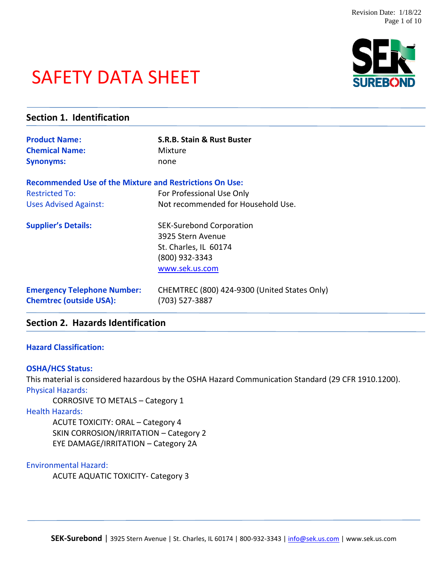# SAFETY DATA SHEET



| Section 1. Identification                                            |                                                                |  |
|----------------------------------------------------------------------|----------------------------------------------------------------|--|
| <b>Product Name:</b>                                                 | <b>S.R.B. Stain &amp; Rust Buster</b>                          |  |
| <b>Chemical Name:</b>                                                | Mixture                                                        |  |
| <b>Synonyms:</b>                                                     | none                                                           |  |
| <b>Recommended Use of the Mixture and Restrictions On Use:</b>       |                                                                |  |
| <b>Restricted To:</b>                                                | For Professional Use Only                                      |  |
| <b>Uses Advised Against:</b>                                         | Not recommended for Household Use.                             |  |
| <b>Supplier's Details:</b>                                           | <b>SEK-Surebond Corporation</b>                                |  |
|                                                                      | 3925 Stern Avenue                                              |  |
|                                                                      | St. Charles, IL 60174                                          |  |
|                                                                      | (800) 932-3343                                                 |  |
|                                                                      | www.sek.us.com                                                 |  |
| <b>Emergency Telephone Number:</b><br><b>Chemtrec (outside USA):</b> | CHEMTREC (800) 424-9300 (United States Only)<br>(703) 527-3887 |  |

# **Section 2. Hazards Identification**

#### **Hazard Classification:**

#### **OSHA/HCS Status:**

This material is considered hazardous by the OSHA Hazard Communication Standard (29 CFR 1910.1200). Physical Hazards:

CORROSIVE TO METALS – Category 1

Health Hazards:

ACUTE TOXICITY: ORAL – Category 4 SKIN CORROSION/IRRITATION – Category 2 EYE DAMAGE/IRRITATION – Category 2A

Environmental Hazard:

ACUTE AQUATIC TOXICITY- Category 3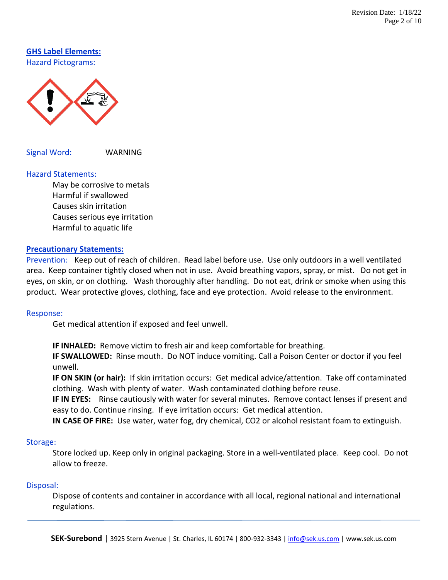**GHS Label Elements:** Hazard Pictograms:



Signal Word: WARNING

#### Hazard Statements:

May be corrosive to metals Harmful if swallowed Causes skin irritation Causes serious eye irritation Harmful to aquatic life

#### **Precautionary Statements:**

Prevention: Keep out of reach of children. Read label before use. Use only outdoors in a well ventilated area. Keep container tightly closed when not in use. Avoid breathing vapors, spray, or mist. Do not get in eyes, on skin, or on clothing. Wash thoroughly after handling. Do not eat, drink or smoke when using this product. Wear protective gloves, clothing, face and eye protection. Avoid release to the environment.

#### Response:

Get medical attention if exposed and feel unwell.

**IF INHALED:** Remove victim to fresh air and keep comfortable for breathing.

**IF SWALLOWED:** Rinse mouth. Do NOT induce vomiting. Call a Poison Center or doctor if you feel unwell.

**IF ON SKIN (or hair):** If skin irritation occurs: Get medical advice/attention. Take off contaminated clothing. Wash with plenty of water. Wash contaminated clothing before reuse.

**IF IN EYES:** Rinse cautiously with water for several minutes. Remove contact lenses if present and easy to do. Continue rinsing. If eye irritation occurs: Get medical attention.

**IN CASE OF FIRE:** Use water, water fog, dry chemical, CO2 or alcohol resistant foam to extinguish.

#### Storage:

Store locked up. Keep only in original packaging. Store in a well-ventilated place. Keep cool. Do not allow to freeze.

#### Disposal:

Dispose of contents and container in accordance with all local, regional national and international regulations.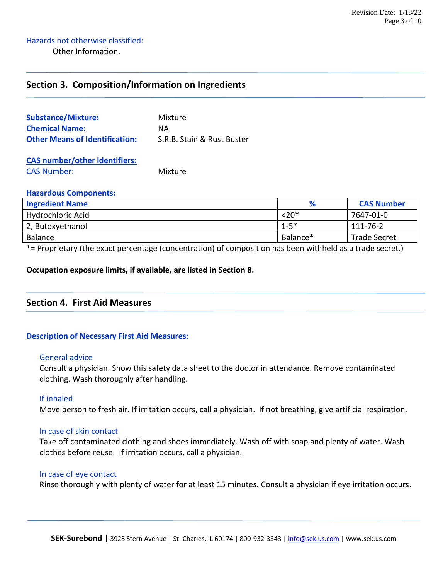# **Section 3. Composition/Information on Ingredients**

| <b>Substance/Mixture:</b>             | Mixture                    |
|---------------------------------------|----------------------------|
| <b>Chemical Name:</b>                 | ΝA                         |
| <b>Other Means of Identification:</b> | S.R.B. Stain & Rust Buster |

**CAS number/other identifiers:** CAS Number: Mixture

#### **Hazardous Components:**

| <b>Ingredient Name</b>           | %        | <b>CAS Number</b>   |
|----------------------------------|----------|---------------------|
| Hydrochloric Acid                | $< 20*$  | 7647-01-0           |
| 2, Butoxyethanol                 | $1 - 5*$ | 111-76-2            |
| Balance                          | Balance* | <b>Trade Secret</b> |
| .<br>$\sim$ $\sim$ $\sim$ $\sim$ |          |                     |

\*= Proprietary (the exact percentage (concentration) of composition has been withheld as a trade secret.)

#### **Occupation exposure limits, if available, are listed in Section 8.**

# **Section 4. First Aid Measures**

#### **Description of Necessary First Aid Measures:**

#### General advice

Consult a physician. Show this safety data sheet to the doctor in attendance. Remove contaminated clothing. Wash thoroughly after handling.

#### If inhaled

Move person to fresh air. If irritation occurs, call a physician. If not breathing, give artificial respiration.

#### In case of skin contact

Take off contaminated clothing and shoes immediately. Wash off with soap and plenty of water. Wash clothes before reuse. If irritation occurs, call a physician.

#### In case of eye contact

Rinse thoroughly with plenty of water for at least 15 minutes. Consult a physician if eye irritation occurs.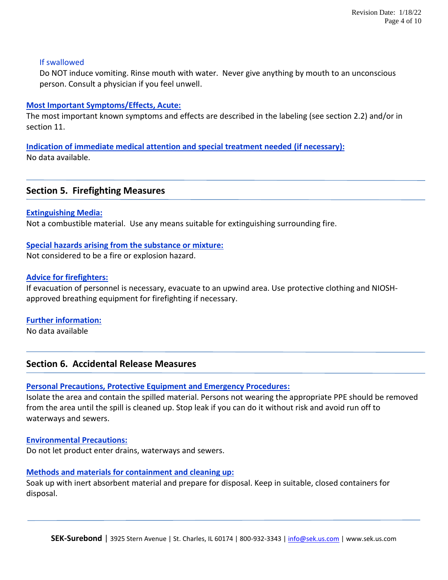#### If swallowed

Do NOT induce vomiting. Rinse mouth with water. Never give anything by mouth to an unconscious person. Consult a physician if you feel unwell.

#### **Most Important Symptoms/Effects, Acute:**

The most important known symptoms and effects are described in the labeling (see section 2.2) and/or in section 11.

**Indication of immediate medical attention and special treatment needed (if necessary):** No data available.

# **Section 5. Firefighting Measures**

**Extinguishing Media:**

Not a combustible material. Use any means suitable for extinguishing surrounding fire.

# **Special hazards arising from the substance or mixture:**

Not considered to be a fire or explosion hazard.

### **Advice for firefighters:**

If evacuation of personnel is necessary, evacuate to an upwind area. Use protective clothing and NIOSHapproved breathing equipment for firefighting if necessary.

# **Further information:**

No data available

# **Section 6. Accidental Release Measures**

# **Personal Precautions, Protective Equipment and Emergency Procedures:**

Isolate the area and contain the spilled material. Persons not wearing the appropriate PPE should be removed from the area until the spill is cleaned up. Stop leak if you can do it without risk and avoid run off to waterways and sewers.

#### **Environmental Precautions:**

Do not let product enter drains, waterways and sewers.

#### **Methods and materials for containment and cleaning up:**

Soak up with inert absorbent material and prepare for disposal. Keep in suitable, closed containers for disposal.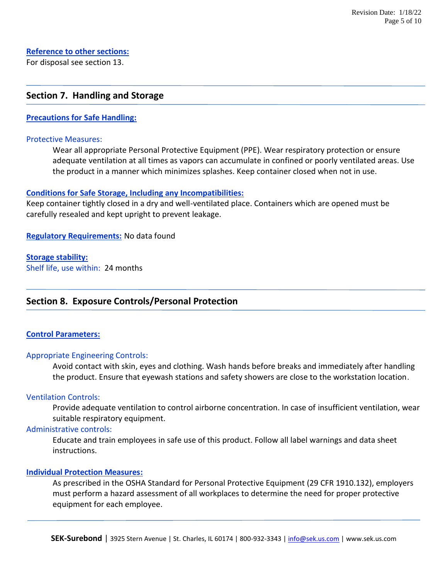# **Reference to other sections:**

For disposal see section 13.

## **Section 7. Handling and Storage**

#### **Precautions for Safe Handling:**

#### Protective Measures:

Wear all appropriate Personal Protective Equipment (PPE). Wear respiratory protection or ensure adequate ventilation at all times as vapors can accumulate in confined or poorly ventilated areas. Use the product in a manner which minimizes splashes. Keep container closed when not in use.

#### **Conditions for Safe Storage, Including any Incompatibilities:**

Keep container tightly closed in a dry and well-ventilated place. Containers which are opened must be carefully resealed and kept upright to prevent leakage.

**Regulatory Requirements:** No data found

#### **Storage stability:**

Shelf life, use within: 24 months

# **Section 8. Exposure Controls/Personal Protection**

#### **Control Parameters:**

#### Appropriate Engineering Controls:

Avoid contact with skin, eyes and clothing. Wash hands before breaks and immediately after handling the product. Ensure that eyewash stations and safety showers are close to the workstation location.

#### Ventilation Controls:

Provide adequate ventilation to control airborne concentration. In case of insufficient ventilation, wear suitable respiratory equipment.

#### Administrative controls:

Educate and train employees in safe use of this product. Follow all label warnings and data sheet instructions.

#### **Individual Protection Measures:**

As prescribed in the OSHA Standard for Personal Protective Equipment (29 CFR 1910.132), employers must perform a hazard assessment of all workplaces to determine the need for proper protective equipment for each employee.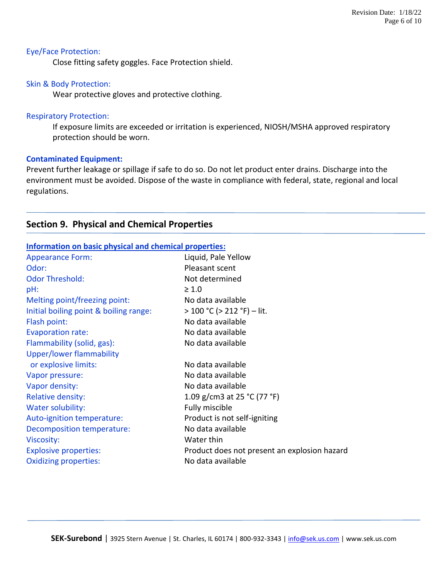#### Eye/Face Protection:

Close fitting safety goggles. Face Protection shield.

#### Skin & Body Protection:

Wear protective gloves and protective clothing.

#### Respiratory Protection:

If exposure limits are exceeded or irritation is experienced, NIOSH/MSHA approved respiratory protection should be worn.

#### **Contaminated Equipment:**

Prevent further leakage or spillage if safe to do so. Do not let product enter drains. Discharge into the environment must be avoided. Dispose of the waste in compliance with federal, state, regional and local regulations.

# **Section 9. Physical and Chemical Properties**

| Information on basic physical and chemical properties: |                                              |  |
|--------------------------------------------------------|----------------------------------------------|--|
| <b>Appearance Form:</b>                                | Liquid, Pale Yellow                          |  |
| Odor:                                                  | Pleasant scent                               |  |
| <b>Odor Threshold:</b>                                 | Not determined                               |  |
| pH:                                                    | $\geq 1.0$                                   |  |
| Melting point/freezing point:                          | No data available                            |  |
| Initial boiling point & boiling range:                 | > 100 °C (> 212 °F) – lit.                   |  |
| Flash point:                                           | No data available                            |  |
| <b>Evaporation rate:</b>                               | No data available                            |  |
| Flammability (solid, gas):                             | No data available                            |  |
| Upper/lower flammability                               |                                              |  |
| or explosive limits:                                   | No data available                            |  |
| Vapor pressure:                                        | No data available                            |  |
| Vapor density:                                         | No data available                            |  |
| <b>Relative density:</b>                               | 1.09 g/cm3 at 25 °C (77 °F)                  |  |
| Water solubility:                                      | Fully miscible                               |  |
| Auto-ignition temperature:                             | Product is not self-igniting                 |  |
| Decomposition temperature:                             | No data available                            |  |
| Viscosity:                                             | Water thin                                   |  |
| <b>Explosive properties:</b>                           | Product does not present an explosion hazard |  |
| <b>Oxidizing properties:</b>                           | No data available                            |  |
|                                                        |                                              |  |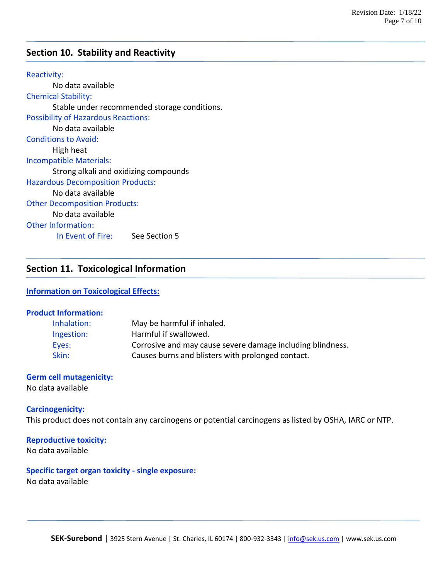# **Section 10. Stability and Reactivity**

Reactivity: No data available Chemical Stability: Stable under recommended storage conditions. Possibility of Hazardous Reactions: No data available Conditions to Avoid: High heat Incompatible Materials: Strong alkali and oxidizing compounds Hazardous Decomposition Products: No data available Other Decomposition Products: No data available Other Information: In Event of Fire: See Section 5

# **Section 11. Toxicological Information**

#### **Information on Toxicological Effects:**

#### **Product Information:**

| Inhalation: | May be harmful if inhaled.                                 |
|-------------|------------------------------------------------------------|
| Ingestion:  | Harmful if swallowed.                                      |
| Eyes:       | Corrosive and may cause severe damage including blindness. |
| Skin:       | Causes burns and blisters with prolonged contact.          |

# **Germ cell mutagenicity:**

No data available

#### **Carcinogenicity:**

This product does not contain any carcinogens or potential carcinogens as listed by OSHA, IARC or NTP.

#### **Reproductive toxicity:**

No data available

#### **Specific target organ toxicity - single exposure:**

No data available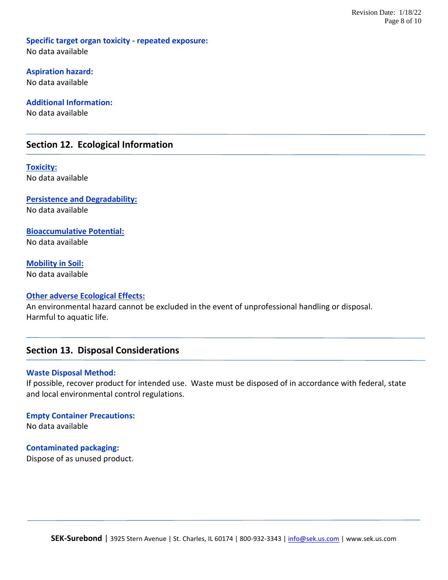**Specific target organ toxicity - repeated exposure:** No data available

**Aspiration hazard:** No data available

**Additional Information:** No data available

# **Section 12. Ecological Information**

**Toxicity:** No data available

**Persistence and Degradability:** No data available

**Bioaccumulative Potential:** No data available

**Mobility in Soil:** No data available

#### **Other adverse Ecological Effects:**

An environmental hazard cannot be excluded in the event of unprofessional handling or disposal. Harmful to aquatic life.

# **Section 13. Disposal Considerations**

#### **Waste Disposal Method:**

If possible, recover product for intended use. Waste must be disposed of in accordance with federal, state and local environmental control regulations.

**Empty Container Precautions:** No data available

**Contaminated packaging:**

Dispose of as unused product.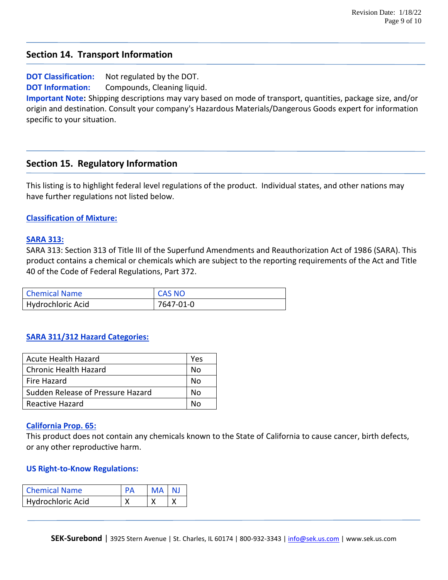# **Section 14. Transport Information**

**DOT Classification:** Not regulated by the DOT. **DOT Information:** Compounds, Cleaning liquid.

**Important Note:** Shipping descriptions may vary based on mode of transport, quantities, package size, and/or origin and destination. Consult your company's Hazardous Materials/Dangerous Goods expert for information specific to your situation.

# **Section 15. Regulatory Information**

This listing is to highlight federal level regulations of the product. Individual states, and other nations may have further regulations not listed below.

#### **Classification of Mixture:**

#### **SARA 313:**

SARA 313: Section 313 of Title III of the Superfund Amendments and Reauthorization Act of 1986 (SARA). This product contains a chemical or chemicals which are subject to the reporting requirements of the Act and Title 40 of the Code of Federal Regulations, Part 372.

| <b>Chemical Name</b> | <b>CAS NO</b> |
|----------------------|---------------|
| Hydrochloric Acid    | 7647-01-0     |

#### **SARA 311/312 Hazard Categories:**

| <b>Acute Health Hazard</b>        | Yes |
|-----------------------------------|-----|
| <b>Chronic Health Hazard</b>      | N٥  |
| Fire Hazard                       | N٥  |
| Sudden Release of Pressure Hazard | N٥  |
| Reactive Hazard                   |     |

#### **California Prop. 65:**

This product does not contain any chemicals known to the State of California to cause cancer, birth defects, or any other reproductive harm.

#### **US Right-to-Know Regulations:**

| <b>Chemical Name</b> | $\mathsf{P}\Delta$ | MA NJ |  |
|----------------------|--------------------|-------|--|
| Hydrochloric Acid    |                    |       |  |